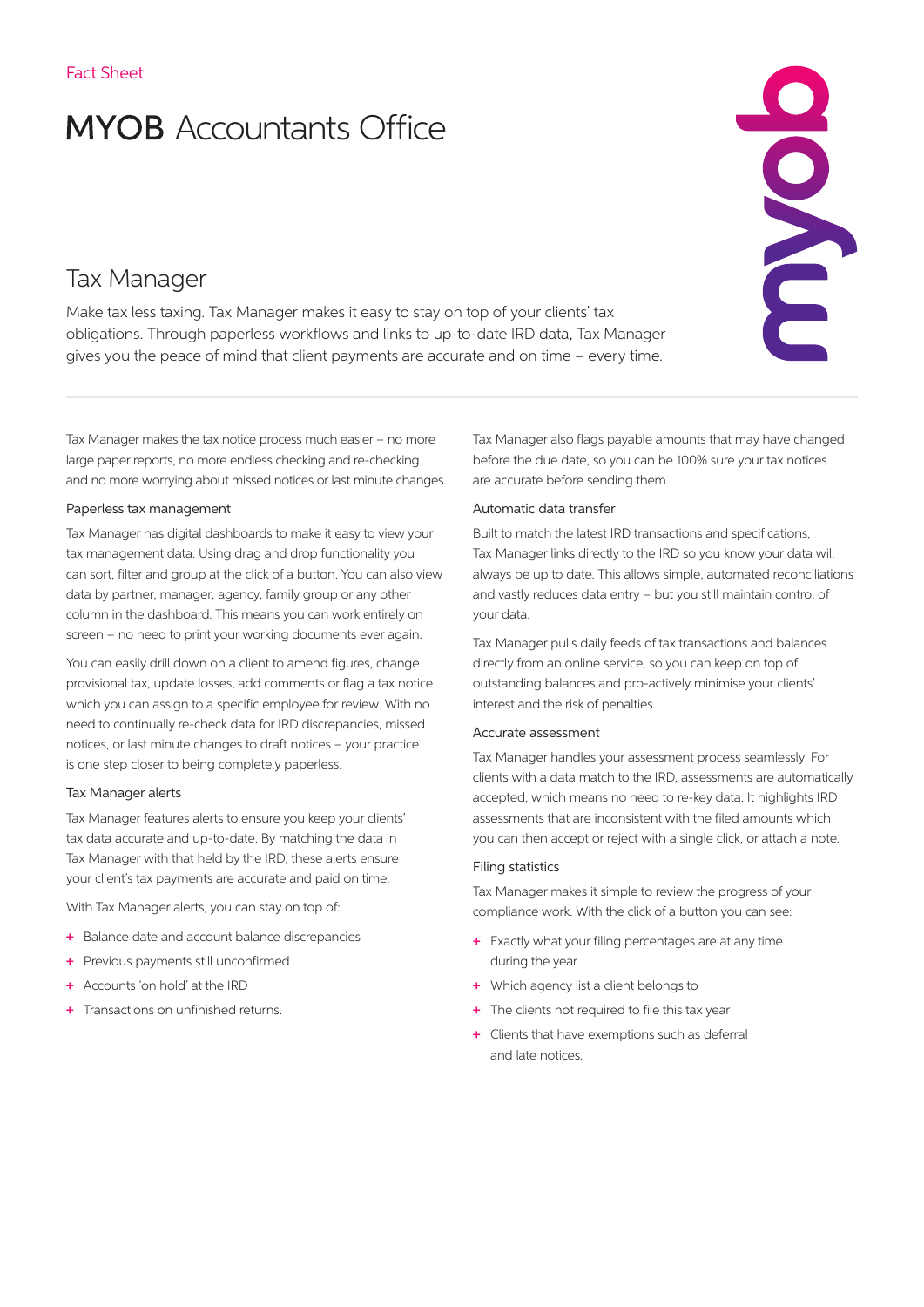# **MYOB** Accountants Office

## Tax Manager

Make tax less taxing. Tax Manager makes it easy to stay on top of your clients' tax obligations. Through paperless workflows and links to up-to-date IRD data, Tax Manager gives you the peace of mind that client payments are accurate and on time – every time.

Tax Manager makes the tax notice process much easier – no more large paper reports, no more endless checking and re-checking and no more worrying about missed notices or last minute changes.

### Paperless tax management

Tax Manager has digital dashboards to make it easy to view your tax management data. Using drag and drop functionality you can sort, filter and group at the click of a button. You can also view data by partner, manager, agency, family group or any other column in the dashboard. This means you can work entirely on screen – no need to print your working documents ever again.

You can easily drill down on a client to amend figures, change provisional tax, update losses, add comments or flag a tax notice which you can assign to a specific employee for review. With no need to continually re-check data for IRD discrepancies, missed notices, or last minute changes to draft notices – your practice is one step closer to being completely paperless.

#### Tax Manager alerts

Tax Manager features alerts to ensure you keep your clients' tax data accurate and up-to-date. By matching the data in Tax Manager with that held by the IRD, these alerts ensure your client's tax payments are accurate and paid on time.

With Tax Manager alerts, you can stay on top of:

- + Balance date and account balance discrepancies
- + Previous payments still unconfirmed
- + Accounts 'on hold' at the IRD
- + Transactions on unfinished returns.

Tax Manager also flags payable amounts that may have changed before the due date, so you can be 100% sure your tax notices are accurate before sending them.

ENDIC

### Automatic data transfer

Built to match the latest IRD transactions and specifications, Tax Manager links directly to the IRD so you know your data will always be up to date. This allows simple, automated reconciliations and vastly reduces data entry – but you still maintain control of your data.

Tax Manager pulls daily feeds of tax transactions and balances directly from an online service, so you can keep on top of outstanding balances and pro-actively minimise your clients' interest and the risk of penalties.

#### Accurate assessment

Tax Manager handles your assessment process seamlessly. For clients with a data match to the IRD, assessments are automatically accepted, which means no need to re-key data. It highlights IRD assessments that are inconsistent with the filed amounts which you can then accept or reject with a single click, or attach a note.

#### Filing statistics

Tax Manager makes it simple to review the progress of your compliance work. With the click of a button you can see:

- + Exactly what your filing percentages are at any time during the year
- + Which agency list a client belongs to
- + The clients not required to file this tax year
- + Clients that have exemptions such as deferral and late notices.